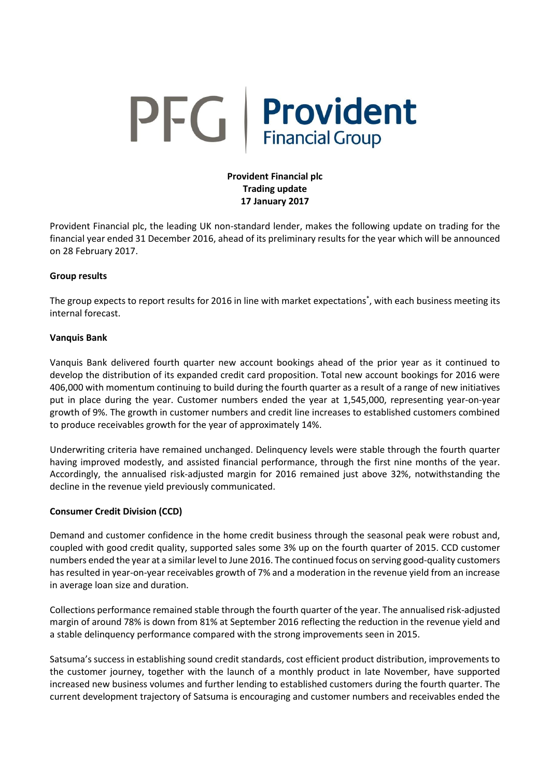# PFG Provident

# **Provident Financial plc Trading update 17 January 2017**

Provident Financial plc, the leading UK non-standard lender, makes the following update on trading for the financial year ended 31 December 2016, ahead of its preliminary results for the year which will be announced on 28 February 2017.

## **Group results**

The group expects to report results for 2016 in line with market expectations<sup>\*</sup>, with each business meeting its internal forecast.

## **Vanquis Bank**

Vanquis Bank delivered fourth quarter new account bookings ahead of the prior year as it continued to develop the distribution of its expanded credit card proposition. Total new account bookings for 2016 were 406,000 with momentum continuing to build during the fourth quarter as a result of a range of new initiatives put in place during the year. Customer numbers ended the year at 1,545,000, representing year-on-year growth of 9%. The growth in customer numbers and credit line increases to established customers combined to produce receivables growth for the year of approximately 14%.

Underwriting criteria have remained unchanged. Delinquency levels were stable through the fourth quarter having improved modestly, and assisted financial performance, through the first nine months of the year. Accordingly, the annualised risk-adjusted margin for 2016 remained just above 32%, notwithstanding the decline in the revenue yield previously communicated.

## **Consumer Credit Division (CCD)**

Demand and customer confidence in the home credit business through the seasonal peak were robust and, coupled with good credit quality, supported sales some 3% up on the fourth quarter of 2015. CCD customer numbers ended the year at a similar level to June 2016. The continued focus on serving good-quality customers has resulted in year-on-year receivables growth of 7% and a moderation in the revenue yield from an increase in average loan size and duration.

Collections performance remained stable through the fourth quarter of the year. The annualised risk-adjusted margin of around 78% is down from 81% at September 2016 reflecting the reduction in the revenue yield and a stable delinquency performance compared with the strong improvements seen in 2015.

Satsuma's success in establishing sound credit standards, cost efficient product distribution, improvements to the customer journey, together with the launch of a monthly product in late November, have supported increased new business volumes and further lending to established customers during the fourth quarter. The current development trajectory of Satsuma is encouraging and customer numbers and receivables ended the